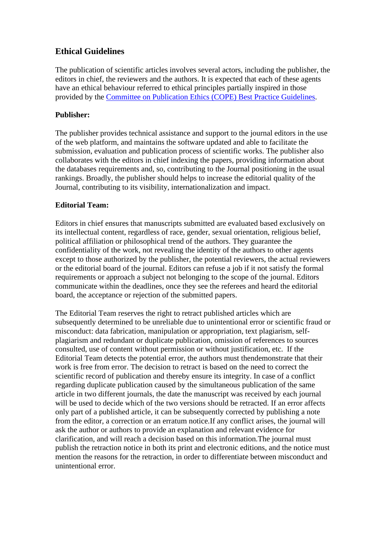# **Ethical Guidelines**

The publication of scientific articles involves several actors, including the publisher, the editors in chief, the reviewers and the authors. It is expected that each of these agents have an ethical behaviour referred to ethical principles partially inspired in those provided by the [Committee on Publication Ethics \(COPE\) Best Practice Guidelines.](https://publicationethics.org/)

### **Publisher:**

The publisher provides technical assistance and support to the journal editors in the use of the web platform, and maintains the software updated and able to facilitate the submission, evaluation and publication process of scientific works. The publisher also collaborates with the editors in chief indexing the papers, providing information about the databases requirements and, so, contributing to the Journal positioning in the usual rankings. Broadly, the publisher should helps to increase the editorial quality of the Journal, contributing to its visibility, internationalization and impact.

### **Editorial Team:**

Editors in chief ensures that manuscripts submitted are evaluated based exclusively on its intellectual content, regardless of race, gender, sexual orientation, religious belief, political affiliation or philosophical trend of the authors. They guarantee the confidentiality of the work, not revealing the identity of the authors to other agents except to those authorized by the publisher, the potential reviewers, the actual reviewers or the editorial board of the journal. Editors can refuse a job if it not satisfy the formal requirements or approach a subject not belonging to the scope of the journal. Editors communicate within the deadlines, once they see the referees and heard the editorial board, the acceptance or rejection of the submitted papers.

The Editorial Team reserves the right to retract published articles which are subsequently determined to be unreliable due to unintentional error or scientific fraud or misconduct: data fabrication, manipulation or appropriation, text plagiarism, selfplagiarism and redundant or duplicate publication, omission of references to sources consulted, use of content without permission or without justification, etc. If the Editorial Team detects the potential error, the authors must thendemonstrate that their work is free from error. The decision to retract is based on the need to correct the scientific record of publication and thereby ensure its integrity. In case of a conflict regarding duplicate publication caused by the simultaneous publication of the same article in two different journals, the date the manuscript was received by each journal will be used to decide which of the two versions should be retracted. If an error affects only part of a published article, it can be subsequently corrected by publishing a note from the editor, a correction or an erratum notice.If any conflict arises, the journal will ask the author or authors to provide an explanation and relevant evidence for clarification, and will reach a decision based on this information.The journal must publish the retraction notice in both its print and electronic editions, and the notice must mention the reasons for the retraction, in order to differentiate between misconduct and unintentional error.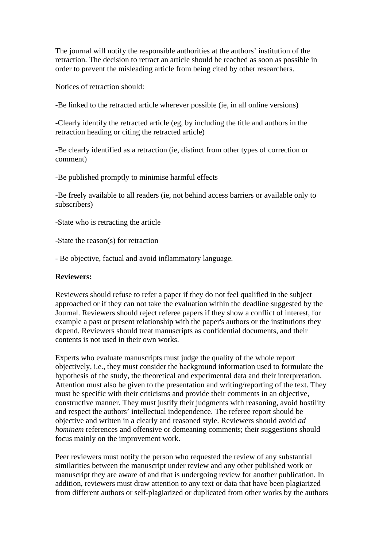The journal will notify the responsible authorities at the authors' institution of the retraction. The decision to retract an article should be reached as soon as possible in order to prevent the misleading article from being cited by other researchers.

Notices of retraction should:

-Be linked to the retracted article wherever possible (ie, in all online versions)

-Clearly identify the retracted article (eg, by including the title and authors in the retraction heading or citing the retracted article)

-Be clearly identified as a retraction (ie, distinct from other types of correction or comment)

-Be published promptly to minimise harmful effects

-Be freely available to all readers (ie, not behind access barriers or available only to subscribers)

-State who is retracting the article

-State the reason(s) for retraction

- Be objective, factual and avoid inflammatory language.

#### **Reviewers:**

Reviewers should refuse to refer a paper if they do not feel qualified in the subject approached or if they can not take the evaluation within the deadline suggested by the Journal. Reviewers should reject referee papers if they show a conflict of interest, for example a past or present relationship with the paper's authors or the institutions they depend. Reviewers should treat manuscripts as confidential documents, and their contents is not used in their own works.

Experts who evaluate manuscripts must judge the quality of the whole report objectively, i.e., they must consider the background information used to formulate the hypothesis of the study, the theoretical and experimental data and their interpretation. Attention must also be given to the presentation and writing/reporting of the text. They must be specific with their criticisms and provide their comments in an objective, constructive manner. They must justify their judgments with reasoning, avoid hostility and respect the authors' intellectual independence. The referee report should be objective and written in a clearly and reasoned style. Reviewers should avoid *ad hominem* references and offensive or demeaning comments; their suggestions should focus mainly on the improvement work.

Peer reviewers must notify the person who requested the review of any substantial similarities between the manuscript under review and any other published work or manuscript they are aware of and that is undergoing review for another publication. In addition, reviewers must draw attention to any text or data that have been plagiarized from different authors or self-plagiarized or duplicated from other works by the authors